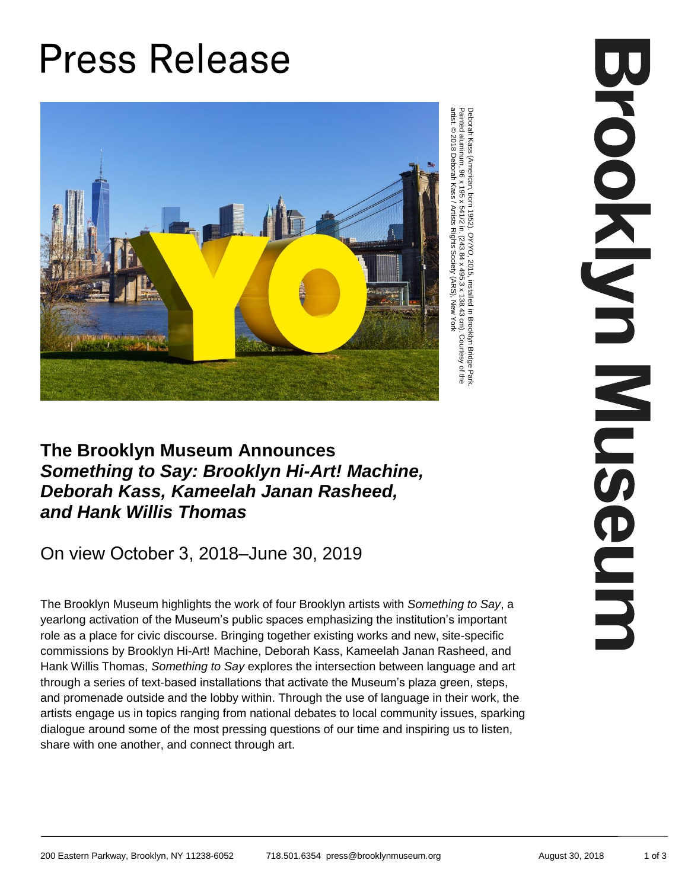## **Press Release**



Deborah Kass (American, born 1952). Deborah Kass (American, born 1952). O Y/YO, 2015, installed in Brooklyn Bridge Park<br>Painted aluminum, 96 x 195 x 541/2 in. (243.84 x 495.3 x 138.43 cm). Courtesy of the<br>artist.© 2018 Deborah Kass / Artists Rights Society ( , 2015, installed in Brooklyn Bridge Park. Painted aluminum, 96 x 195 x 541/2 in. (243.84 x 495.3 x 138.43 cm). Courtesy of the artist. © 2018 Deborah Kass / Artists Rights Society (ARS), New York

## **The Brooklyn Museum Announces**  *Something to Say: Brooklyn Hi-Art! Machine, Deborah Kass, Kameelah Janan Rasheed, and Hank Willis Thomas*

## On view October 3, 2018–June 30, 2019

The Brooklyn Museum highlights the work of four Brooklyn artists with *Something to Say*, a yearlong activation of the Museum's public spaces emphasizing the institution's important role as a place for civic discourse. Bringing together existing works and new, site-specific commissions by Brooklyn Hi-Art! Machine, Deborah Kass, Kameelah Janan Rasheed, and Hank Willis Thomas, *Something to Say* explores the intersection between language and art through a series of text-based installations that activate the Museum's plaza green, steps, and promenade outside and the lobby within. Through the use of language in their work, the artists engage us in topics ranging from national debates to local community issues, sparking dialogue around some of the most pressing questions of our time and inspiring us to listen, share with one another, and connect through art.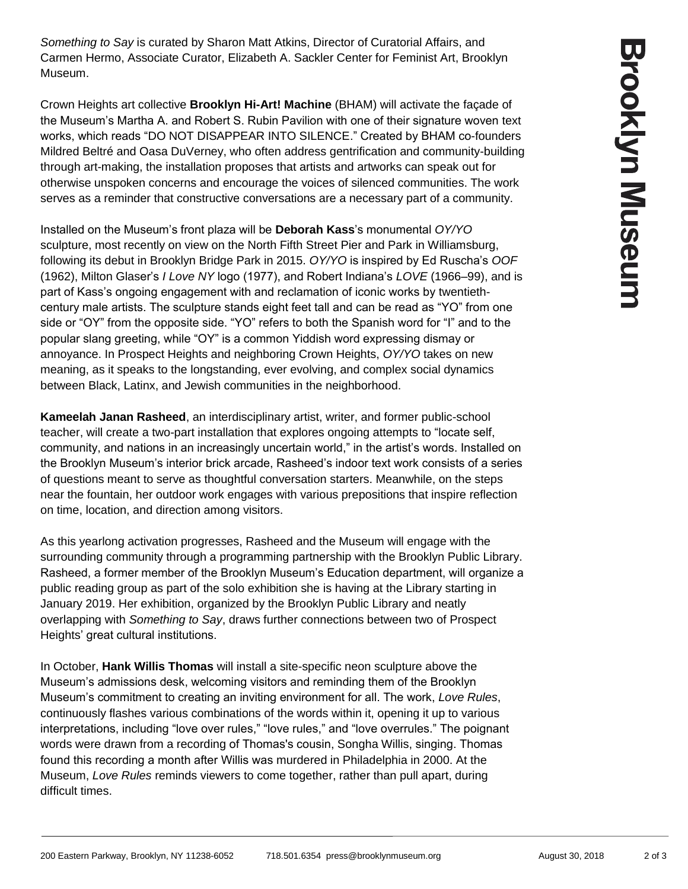*Something to Say* is curated by Sharon Matt Atkins, Director of Curatorial Affairs, and Carmen Hermo, Associate Curator, Elizabeth A. Sackler Center for Feminist Art, Brooklyn Museum.

Crown Heights art collective **Brooklyn Hi-Art! Machine** (BHAM) will activate the façade of the Museum's Martha A. and Robert S. Rubin Pavilion with one of their signature woven text works, which reads "DO NOT DISAPPEAR INTO SILENCE." Created by BHAM co-founders Mildred Beltré and Oasa DuVerney, who often address gentrification and community-building through art-making, the installation proposes that artists and artworks can speak out for otherwise unspoken concerns and encourage the voices of silenced communities. The work serves as a reminder that constructive conversations are a necessary part of a community.

Installed on the Museum's front plaza will be **Deborah Kass**'s monumental *OY/YO* sculpture, most recently on view on the North Fifth Street Pier and Park in Williamsburg, following its debut in Brooklyn Bridge Park in 2015. *OY/YO* is inspired by Ed Ruscha's *OOF* (1962), Milton Glaser's *I Love NY* logo (1977), and Robert Indiana's *LOVE* (1966–99), and is part of Kass's ongoing engagement with and reclamation of iconic works by twentiethcentury male artists. The sculpture stands eight feet tall and can be read as "YO" from one side or "OY" from the opposite side. "YO" refers to both the Spanish word for "I" and to the popular slang greeting, while "OY" is a common Yiddish word expressing dismay or annoyance. In Prospect Heights and neighboring Crown Heights, *OY/YO* takes on new meaning, as it speaks to the longstanding, ever evolving, and complex social dynamics between Black, Latinx, and Jewish communities in the neighborhood.

**Kameelah Janan Rasheed**, an interdisciplinary artist, writer, and former public-school teacher, will create a two-part installation that explores ongoing attempts to "locate self, community, and nations in an increasingly uncertain world," in the artist's words. Installed on the Brooklyn Museum's interior brick arcade, Rasheed's indoor text work consists of a series of questions meant to serve as thoughtful conversation starters. Meanwhile, on the steps near the fountain, her outdoor work engages with various prepositions that inspire reflection on time, location, and direction among visitors.

As this yearlong activation progresses, Rasheed and the Museum will engage with the surrounding community through a programming partnership with the Brooklyn Public Library. Rasheed, a former member of the Brooklyn Museum's Education department, will organize a public reading group as part of the solo exhibition she is having at the Library starting in January 2019. Her exhibition, organized by the Brooklyn Public Library and neatly overlapping with *Something to Say*, draws further connections between two of Prospect Heights' great cultural institutions.

In October, **Hank Willis Thomas** will install a site-specific neon sculpture above the Museum's admissions desk, welcoming visitors and reminding them of the Brooklyn Museum's commitment to creating an inviting environment for all. The work, *Love Rules*, continuously flashes various combinations of the words within it, opening it up to various interpretations, including "love over rules," "love rules," and "love overrules." The poignant words were drawn from a recording of Thomas's cousin, Songha Willis, singing. Thomas found this recording a month after Willis was murdered in Philadelphia in 2000. At the Museum, *Love Rules* reminds viewers to come together, rather than pull apart, during difficult times.